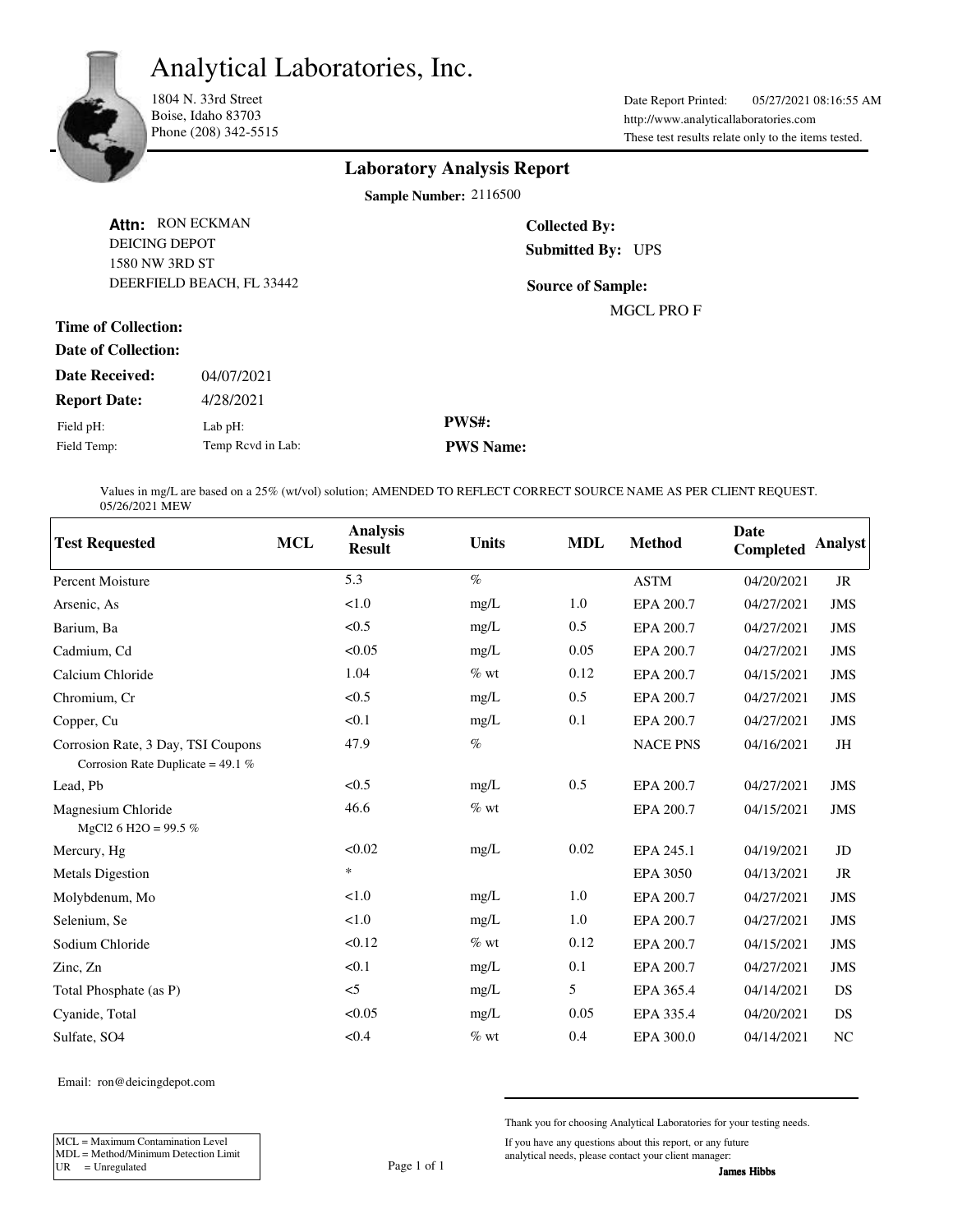Analytical Laboratories, Inc.



1804 N. 33rd Street Boise, Idaho 83703 Phone (208) 342-5515

http://www.analyticallaboratories.com Date Report Printed: 05/27/2021 08:16:55 AM These test results relate only to the items tested.

## **Laboratory Analysis Report**

**Sample Number:** 2116500

| <b>DEICING DEPOT</b><br>1580 NW 3RD ST | Attn: RON ECKMAN  | <b>Collected By:</b><br><b>Submitted By: UPS</b> |  |  |  |  |
|----------------------------------------|-------------------|--------------------------------------------------|--|--|--|--|
| DEERFIELD BEACH, FL 33442              |                   | <b>Source of Sample:</b>                         |  |  |  |  |
|                                        |                   | <b>MGCL PROF</b>                                 |  |  |  |  |
| <b>Time of Collection:</b>             |                   |                                                  |  |  |  |  |
| Date of Collection:                    |                   |                                                  |  |  |  |  |
| <b>Date Received:</b>                  | 04/07/2021        |                                                  |  |  |  |  |
| <b>Report Date:</b>                    | 4/28/2021         |                                                  |  |  |  |  |
| Field pH:                              | Lab $pH$ :        | <b>PWS#:</b>                                     |  |  |  |  |
| Field Temp:                            | Temp Rcvd in Lab: | <b>PWS Name:</b>                                 |  |  |  |  |

Values in mg/L are based on a 25% (wt/vol) solution; AMENDED TO REFLECT CORRECT SOURCE NAME AS PER CLIENT REQUEST. 05/26/2021 MEW

| <b>Test Requested</b>                                                     | <b>MCL</b> | <b>Analysis</b><br><b>Result</b> | <b>Units</b> | <b>MDL</b> | <b>Method</b>   | Date<br><b>Completed</b> | <b>Analyst</b> |
|---------------------------------------------------------------------------|------------|----------------------------------|--------------|------------|-----------------|--------------------------|----------------|
| <b>Percent Moisture</b>                                                   |            | 5.3                              | $\%$         |            | <b>ASTM</b>     | 04/20/2021               | JR             |
| Arsenic, As                                                               |            | < 1.0                            | mg/L         | 1.0        | EPA 200.7       | 04/27/2021               | <b>JMS</b>     |
| Barium, Ba                                                                |            | < 0.5                            | mg/L         | 0.5        | EPA 200.7       | 04/27/2021               | <b>JMS</b>     |
| Cadmium, Cd                                                               |            | < 0.05                           | mg/L         | 0.05       | EPA 200.7       | 04/27/2021               | <b>JMS</b>     |
| Calcium Chloride                                                          |            | 1.04                             | $%$ wt       | 0.12       | EPA 200.7       | 04/15/2021               | <b>JMS</b>     |
| Chromium, Cr                                                              |            | < 0.5                            | mg/L         | 0.5        | EPA 200.7       | 04/27/2021               | <b>JMS</b>     |
| Copper, Cu                                                                |            | < 0.1                            | mg/L         | 0.1        | EPA 200.7       | 04/27/2021               | <b>JMS</b>     |
| Corrosion Rate, 3 Day, TSI Coupons<br>Corrosion Rate Duplicate = $49.1\%$ |            | 47.9                             | $\%$         |            | <b>NACE PNS</b> | 04/16/2021               | JH             |
| Lead, Pb                                                                  |            | < 0.5                            | mg/L         | 0.5        | EPA 200.7       | 04/27/2021               | <b>JMS</b>     |
| Magnesium Chloride<br>MgCl2 6 H2O = 99.5 %                                |            | 46.6                             | $%$ wt       |            | EPA 200.7       | 04/15/2021               | <b>JMS</b>     |
| Mercury, Hg                                                               |            | < 0.02                           | mg/L         | 0.02       | EPA 245.1       | 04/19/2021               | JD             |
| <b>Metals Digestion</b>                                                   |            | $\ast$                           |              |            | <b>EPA 3050</b> | 04/13/2021               | <b>JR</b>      |
| Molybdenum, Mo                                                            |            | < 1.0                            | mg/L         | 1.0        | EPA 200.7       | 04/27/2021               | <b>JMS</b>     |
| Selenium, Se                                                              |            | < 1.0                            | mg/L         | 1.0        | EPA 200.7       | 04/27/2021               | <b>JMS</b>     |
| Sodium Chloride                                                           |            | < 0.12                           | $\%$ wt      | 0.12       | EPA 200.7       | 04/15/2021               | <b>JMS</b>     |
| Zinc, Zn                                                                  |            | < 0.1                            | mg/L         | 0.1        | EPA 200.7       | 04/27/2021               | <b>JMS</b>     |
| Total Phosphate (as P)                                                    |            | $\leq$                           | mg/L         | 5          | EPA 365.4       | 04/14/2021               | DS             |
| Cyanide, Total                                                            |            | < 0.05                           | mg/L         | 0.05       | EPA 335.4       | 04/20/2021               | DS             |
| Sulfate, SO4                                                              |            | < 0.4                            | $%$ wt       | 0.4        | EPA 300.0       | 04/14/2021               | N <sub>C</sub> |

Email: ron@deicingdepot.com

MCL = Maximum Contamination Level MDL = Method/Minimum Detection Limit

UR  $=$  Unregulated Page 1 of 1

Thank you for choosing Analytical Laboratories for your testing needs.

If you have any questions about this report, or any future analytical needs, please contact your client manager: